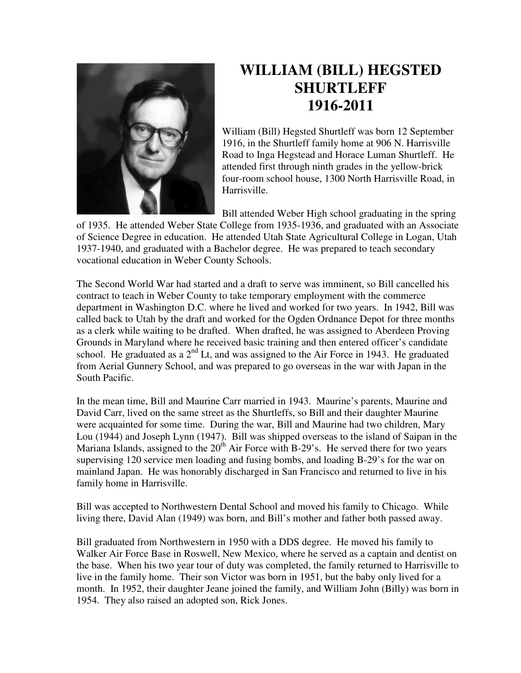

## **WILLIAM (BILL) HEGSTED SHURTLEFF 1916-2011**

William (Bill) Hegsted Shurtleff was born 12 September 1916, in the Shurtleff family home at 906 N. Harrisville Road to Inga Hegstead and Horace Luman Shurtleff. He attended first through ninth grades in the yellow-brick four-room school house, 1300 North Harrisville Road, in Harrisville.

Bill attended Weber High school graduating in the spring

of 1935. He attended Weber State College from 1935-1936, and graduated with an Associate of Science Degree in education. He attended Utah State Agricultural College in Logan, Utah 1937-1940, and graduated with a Bachelor degree. He was prepared to teach secondary vocational education in Weber County Schools.

The Second World War had started and a draft to serve was imminent, so Bill cancelled his contract to teach in Weber County to take temporary employment with the commerce department in Washington D.C. where he lived and worked for two years. In 1942, Bill was called back to Utah by the draft and worked for the Ogden Ordnance Depot for three months as a clerk while waiting to be drafted. When drafted, he was assigned to Aberdeen Proving Grounds in Maryland where he received basic training and then entered officer's candidate school. He graduated as a  $2<sup>nd</sup>$  Lt, and was assigned to the Air Force in 1943. He graduated from Aerial Gunnery School, and was prepared to go overseas in the war with Japan in the South Pacific.

In the mean time, Bill and Maurine Carr married in 1943. Maurine's parents, Maurine and David Carr, lived on the same street as the Shurtleffs, so Bill and their daughter Maurine were acquainted for some time. During the war, Bill and Maurine had two children, Mary Lou (1944) and Joseph Lynn (1947). Bill was shipped overseas to the island of Saipan in the Mariana Islands, assigned to the  $20<sup>th</sup>$  Air Force with B-29's. He served there for two years supervising 120 service men loading and fusing bombs, and loading B-29's for the war on mainland Japan. He was honorably discharged in San Francisco and returned to live in his family home in Harrisville.

Bill was accepted to Northwestern Dental School and moved his family to Chicago. While living there, David Alan (1949) was born, and Bill's mother and father both passed away.

Bill graduated from Northwestern in 1950 with a DDS degree. He moved his family to Walker Air Force Base in Roswell, New Mexico, where he served as a captain and dentist on the base. When his two year tour of duty was completed, the family returned to Harrisville to live in the family home. Their son Victor was born in 1951, but the baby only lived for a month. In 1952, their daughter Jeane joined the family, and William John (Billy) was born in 1954. They also raised an adopted son, Rick Jones.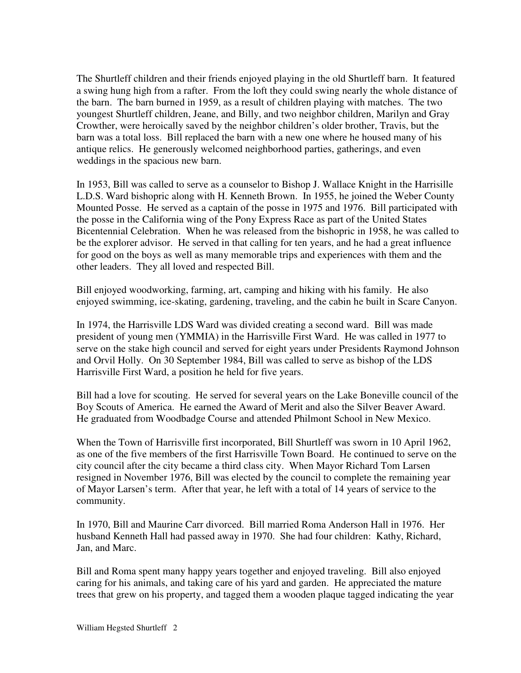The Shurtleff children and their friends enjoyed playing in the old Shurtleff barn. It featured a swing hung high from a rafter. From the loft they could swing nearly the whole distance of the barn. The barn burned in 1959, as a result of children playing with matches. The two youngest Shurtleff children, Jeane, and Billy, and two neighbor children, Marilyn and Gray Crowther, were heroically saved by the neighbor children's older brother, Travis, but the barn was a total loss. Bill replaced the barn with a new one where he housed many of his antique relics. He generously welcomed neighborhood parties, gatherings, and even weddings in the spacious new barn.

In 1953, Bill was called to serve as a counselor to Bishop J. Wallace Knight in the Harrisille L.D.S. Ward bishopric along with H. Kenneth Brown. In 1955, he joined the Weber County Mounted Posse. He served as a captain of the posse in 1975 and 1976. Bill participated with the posse in the California wing of the Pony Express Race as part of the United States Bicentennial Celebration. When he was released from the bishopric in 1958, he was called to be the explorer advisor. He served in that calling for ten years, and he had a great influence for good on the boys as well as many memorable trips and experiences with them and the other leaders. They all loved and respected Bill.

Bill enjoyed woodworking, farming, art, camping and hiking with his family. He also enjoyed swimming, ice-skating, gardening, traveling, and the cabin he built in Scare Canyon.

In 1974, the Harrisville LDS Ward was divided creating a second ward. Bill was made president of young men (YMMIA) in the Harrisville First Ward. He was called in 1977 to serve on the stake high council and served for eight years under Presidents Raymond Johnson and Orvil Holly. On 30 September 1984, Bill was called to serve as bishop of the LDS Harrisville First Ward, a position he held for five years.

Bill had a love for scouting. He served for several years on the Lake Boneville council of the Boy Scouts of America. He earned the Award of Merit and also the Silver Beaver Award. He graduated from Woodbadge Course and attended Philmont School in New Mexico.

When the Town of Harrisville first incorporated, Bill Shurtleff was sworn in 10 April 1962, as one of the five members of the first Harrisville Town Board. He continued to serve on the city council after the city became a third class city. When Mayor Richard Tom Larsen resigned in November 1976, Bill was elected by the council to complete the remaining year of Mayor Larsen's term. After that year, he left with a total of 14 years of service to the community.

In 1970, Bill and Maurine Carr divorced. Bill married Roma Anderson Hall in 1976. Her husband Kenneth Hall had passed away in 1970. She had four children: Kathy, Richard, Jan, and Marc.

Bill and Roma spent many happy years together and enjoyed traveling. Bill also enjoyed caring for his animals, and taking care of his yard and garden. He appreciated the mature trees that grew on his property, and tagged them a wooden plaque tagged indicating the year